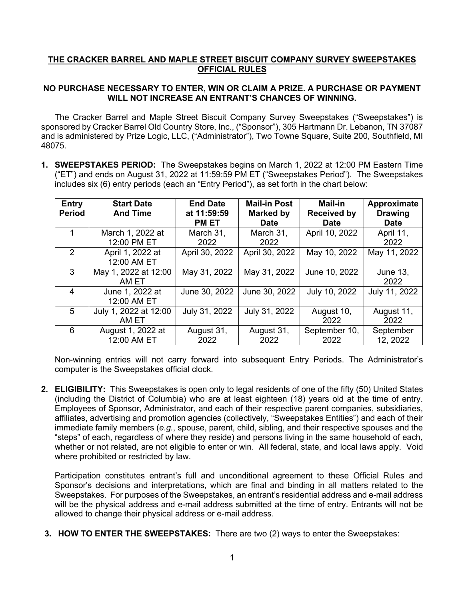## **THE CRACKER BARREL AND MAPLE STREET BISCUIT COMPANY SURVEY SWEEPSTAKES OFFICIAL RULES**

## **NO PURCHASE NECESSARY TO ENTER, WIN OR CLAIM A PRIZE. A PURCHASE OR PAYMENT WILL NOT INCREASE AN ENTRANT'S CHANCES OF WINNING.**

The Cracker Barrel and Maple Street Biscuit Company Survey Sweepstakes ("Sweepstakes") is sponsored by Cracker Barrel Old Country Store, Inc., ("Sponsor"), 305 Hartmann Dr. Lebanon, TN 37087 and is administered by Prize Logic, LLC, ("Administrator"), Two Towne Square, Suite 200, Southfield, MI 48075.

**1. SWEEPSTAKES PERIOD:** The Sweepstakes begins on March 1, 2022 at 12:00 PM Eastern Time ("ET") and ends on August 31, 2022 at 11:59:59 PM ET ("Sweepstakes Period"). The Sweepstakes includes six (6) entry periods (each an "Entry Period"), as set forth in the chart below:

| Entry<br><b>Period</b> | <b>Start Date</b><br><b>And Time</b> | <b>End Date</b><br>at 11:59:59<br><b>PM ET</b> | <b>Mail-in Post</b><br><b>Marked by</b><br><b>Date</b> | <b>Mail-in</b><br><b>Received by</b><br><b>Date</b> | Approximate<br><b>Drawing</b><br><b>Date</b> |
|------------------------|--------------------------------------|------------------------------------------------|--------------------------------------------------------|-----------------------------------------------------|----------------------------------------------|
|                        | March 1, 2022 at<br>12:00 PM ET      | March 31,<br>2022                              | March 31,<br>2022                                      | April 10, 2022                                      | April 11,<br>2022                            |
| $\mathcal{P}$          | April 1, 2022 at<br>12:00 AM ET      | April 30, 2022                                 | April 30, 2022                                         | May 10, 2022                                        | May 11, 2022                                 |
| 3                      | May 1, 2022 at 12:00<br>AM ET        | May 31, 2022                                   | May 31, 2022                                           | June 10, 2022                                       | June 13,<br>2022                             |
| 4                      | June 1, 2022 at<br>12:00 AM ET       | June 30, 2022                                  | June 30, 2022                                          | July 10, 2022                                       | July 11, 2022                                |
| 5                      | July 1, 2022 at 12:00<br>AM ET       | July 31, 2022                                  | July 31, 2022                                          | August 10,<br>2022                                  | August 11,<br>2022                           |
| 6                      | August 1, 2022 at<br>12:00 AM ET     | August 31,<br>2022                             | August 31,<br>2022                                     | September 10,<br>2022                               | September<br>12, 2022                        |

Non-winning entries will not carry forward into subsequent Entry Periods. The Administrator's computer is the Sweepstakes official clock.

**2. ELIGIBILITY:** This Sweepstakes is open only to legal residents of one of the fifty (50) United States (including the District of Columbia) who are at least eighteen (18) years old at the time of entry. Employees of Sponsor, Administrator, and each of their respective parent companies, subsidiaries, affiliates, advertising and promotion agencies (collectively, "Sweepstakes Entities") and each of their immediate family members (*e.g.*, spouse, parent, child, sibling, and their respective spouses and the "steps" of each, regardless of where they reside) and persons living in the same household of each, whether or not related, are not eligible to enter or win. All federal, state, and local laws apply. Void where prohibited or restricted by law.

Participation constitutes entrant's full and unconditional agreement to these Official Rules and Sponsor's decisions and interpretations, which are final and binding in all matters related to the Sweepstakes. For purposes of the Sweepstakes, an entrant's residential address and e-mail address will be the physical address and e-mail address submitted at the time of entry. Entrants will not be allowed to change their physical address or e-mail address.

**3. HOW TO ENTER THE SWEEPSTAKES:** There are two (2) ways to enter the Sweepstakes: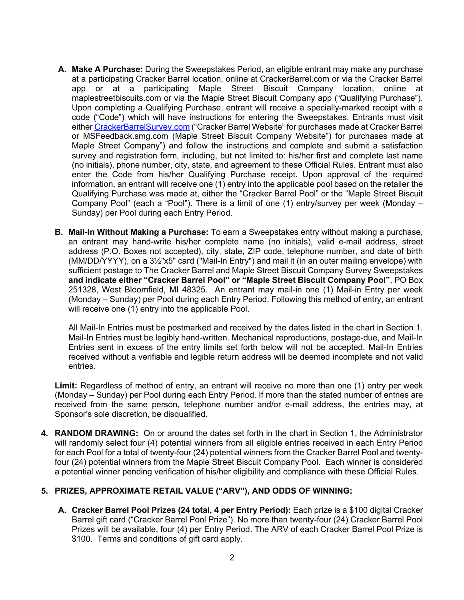- **A. Make A Purchase:** During the Sweepstakes Period, an eligible entrant may make any purchase at a participating Cracker Barrel location, online at CrackerBarrel.com or via the Cracker Barrel app or at a participating Maple Street Biscuit Company location, online at maplestreetbiscuits.com or via the Maple Street Biscuit Company app ("Qualifying Purchase"). Upon completing a Qualifying Purchase, entrant will receive a specially-marked receipt with a code ("Code") which will have instructions for entering the Sweepstakes. Entrants must visit either CrackerBarrelSurvey.com ("Cracker Barrel Website" for purchases made at Cracker Barrel or MSFeedback.smg.com (Maple Street Biscuit Company Website") for purchases made at Maple Street Company") and follow the instructions and complete and submit a satisfaction survey and registration form, including, but not limited to: his/her first and complete last name (no initials), phone number, city, state, and agreement to these Official Rules. Entrant must also enter the Code from his/her Qualifying Purchase receipt. Upon approval of the required information, an entrant will receive one (1) entry into the applicable pool based on the retailer the Qualifying Purchase was made at, either the "Cracker Barrel Pool" or the "Maple Street Biscuit Company Pool" (each a "Pool"). There is a limit of one (1) entry/survey per week (Monday – Sunday) per Pool during each Entry Period.
- **B. Mail-In Without Making a Purchase:** To earn a Sweepstakes entry without making a purchase, an entrant may hand-write his/her complete name (no initials), valid e-mail address, street address (P.O. Boxes not accepted), city, state, ZIP code, telephone number, and date of birth (MM/DD/YYYY), on a 3½"x5" card ("Mail-In Entry") and mail it (in an outer mailing envelope) with sufficient postage to The Cracker Barrel and Maple Street Biscuit Company Survey Sweepstakes **and indicate either "Cracker Barrel Pool" or "Maple Street Biscuit Company Pool"**, PO Box 251328, West Bloomfield, MI 48325. An entrant may mail-in one (1) Mail-in Entry per week (Monday – Sunday) per Pool during each Entry Period. Following this method of entry, an entrant will receive one (1) entry into the applicable Pool.

All Mail-In Entries must be postmarked and received by the dates listed in the chart in Section 1. Mail-In Entries must be legibly hand-written. Mechanical reproductions, postage-due, and Mail-In Entries sent in excess of the entry limits set forth below will not be accepted. Mail-In Entries received without a verifiable and legible return address will be deemed incomplete and not valid entries.

**Limit:** Regardless of method of entry, an entrant will receive no more than one (1) entry per week (Monday – Sunday) per Pool during each Entry Period. If more than the stated number of entries are received from the same person, telephone number and/or e-mail address, the entries may, at Sponsor's sole discretion, be disqualified.

**4. RANDOM DRAWING:** On or around the dates set forth in the chart in Section 1, the Administrator will randomly select four (4) potential winners from all eligible entries received in each Entry Period for each Pool for a total of twenty-four (24) potential winners from the Cracker Barrel Pool and twentyfour (24) potential winners from the Maple Street Biscuit Company Pool. Each winner is considered a potential winner pending verification of his/her eligibility and compliance with these Official Rules.

## **5. PRIZES, APPROXIMATE RETAIL VALUE ("ARV"), AND ODDS OF WINNING:**

**A. Cracker Barrel Pool Prizes (24 total, 4 per Entry Period):** Each prize is a \$100 digital Cracker Barrel gift card ("Cracker Barrel Pool Prize"). No more than twenty-four (24) Cracker Barrel Pool Prizes will be available, four (4) per Entry Period. The ARV of each Cracker Barrel Pool Prize is \$100. Terms and conditions of gift card apply.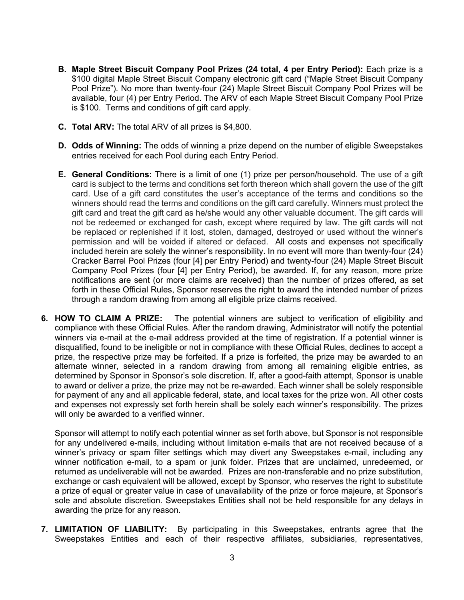- **B. Maple Street Biscuit Company Pool Prizes (24 total, 4 per Entry Period):** Each prize is a \$100 digital Maple Street Biscuit Company electronic gift card ("Maple Street Biscuit Company Pool Prize"). No more than twenty-four (24) Maple Street Biscuit Company Pool Prizes will be available, four (4) per Entry Period. The ARV of each Maple Street Biscuit Company Pool Prize is \$100. Terms and conditions of gift card apply.
- **C. Total ARV:** The total ARV of all prizes is \$4,800.
- **D. Odds of Winning:** The odds of winning a prize depend on the number of eligible Sweepstakes entries received for each Pool during each Entry Period.
- **E. General Conditions:** There is a limit of one (1) prize per person/household. The use of a gift card is subject to the terms and conditions set forth thereon which shall govern the use of the gift card. Use of a gift card constitutes the user's acceptance of the terms and conditions so the winners should read the terms and conditions on the gift card carefully. Winners must protect the gift card and treat the gift card as he/she would any other valuable document. The gift cards will not be redeemed or exchanged for cash, except where required by law. The gift cards will not be replaced or replenished if it lost, stolen, damaged, destroyed or used without the winner's permission and will be voided if altered or defaced.All costs and expenses not specifically included herein are solely the winner's responsibility. In no event will more than twenty-four (24) Cracker Barrel Pool Prizes (four [4] per Entry Period) and twenty-four (24) Maple Street Biscuit Company Pool Prizes (four [4] per Entry Period), be awarded. If, for any reason, more prize notifications are sent (or more claims are received) than the number of prizes offered, as set forth in these Official Rules, Sponsor reserves the right to award the intended number of prizes through a random drawing from among all eligible prize claims received.
- **6. HOW TO CLAIM A PRIZE:** The potential winners are subject to verification of eligibility and compliance with these Official Rules. After the random drawing, Administrator will notify the potential winners via e-mail at the e-mail address provided at the time of registration. If a potential winner is disqualified, found to be ineligible or not in compliance with these Official Rules, declines to accept a prize, the respective prize may be forfeited. If a prize is forfeited, the prize may be awarded to an alternate winner, selected in a random drawing from among all remaining eligible entries, as determined by Sponsor in Sponsor's sole discretion. If, after a good-faith attempt, Sponsor is unable to award or deliver a prize, the prize may not be re-awarded. Each winner shall be solely responsible for payment of any and all applicable federal, state, and local taxes for the prize won. All other costs and expenses not expressly set forth herein shall be solely each winner's responsibility. The prizes will only be awarded to a verified winner.

Sponsor will attempt to notify each potential winner as set forth above, but Sponsor is not responsible for any undelivered e-mails, including without limitation e-mails that are not received because of a winner's privacy or spam filter settings which may divert any Sweepstakes e-mail, including any winner notification e-mail, to a spam or junk folder. Prizes that are unclaimed, unredeemed, or returned as undeliverable will not be awarded. Prizes are non-transferable and no prize substitution, exchange or cash equivalent will be allowed, except by Sponsor, who reserves the right to substitute a prize of equal or greater value in case of unavailability of the prize or force majeure, at Sponsor's sole and absolute discretion. Sweepstakes Entities shall not be held responsible for any delays in awarding the prize for any reason.

**7. LIMITATION OF LIABILITY:** By participating in this Sweepstakes, entrants agree that the Sweepstakes Entities and each of their respective affiliates, subsidiaries, representatives,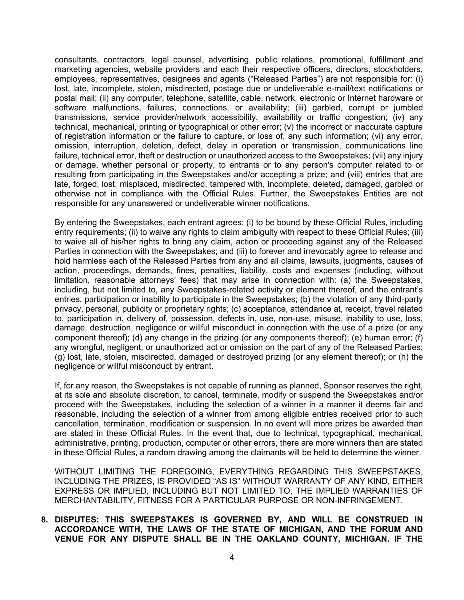consultants, contractors, legal counsel, advertising, public relations, promotional, fulfillment and marketing agencies, website providers and each their respective officers, directors, stockholders, employees, representatives, designees and agents ("Released Parties") are not responsible for: (i) lost, late, incomplete, stolen, misdirected, postage due or undeliverable e-mail/text notifications or postal mail; (ii) any computer, telephone, satellite, cable, network, electronic or Internet hardware or software malfunctions, failures, connections, or availability; (iii) garbled, corrupt or jumbled transmissions, service provider/network accessibility, availability or traffic congestion; (iv) any technical, mechanical, printing or typographical or other error; (v) the incorrect or inaccurate capture of registration information or the failure to capture, or loss of, any such information; (vi) any error, omission, interruption, deletion, defect, delay in operation or transmission, communications line failure, technical error, theft or destruction or unauthorized access to the Sweepstakes; (vii) any injury or damage, whether personal or property, to entrants or to any person's computer related to or resulting from participating in the Sweepstakes and/or accepting a prize; and (viii) entries that are late, forged, lost, misplaced, misdirected, tampered with, incomplete, deleted, damaged, garbled or otherwise not in compliance with the Official Rules. Further, the Sweepstakes Entities are not responsible for any unanswered or undeliverable winner notifications.

By entering the Sweepstakes, each entrant agrees: (i) to be bound by these Official Rules, including entry requirements; (ii) to waive any rights to claim ambiguity with respect to these Official Rules; (iii) to waive all of his/her rights to bring any claim, action or proceeding against any of the Released Parties in connection with the Sweepstakes; and (iii) to forever and irrevocably agree to release and hold harmless each of the Released Parties from any and all claims, lawsuits, judgments, causes of action, proceedings, demands, fines, penalties, liability, costs and expenses (including, without limitation, reasonable attorneys' fees) that may arise in connection with: (a) the Sweepstakes, including, but not limited to, any Sweepstakes-related activity or element thereof, and the entrant's entries, participation or inability to participate in the Sweepstakes; (b) the violation of any third-party privacy, personal, publicity or proprietary rights; (c) acceptance, attendance at, receipt, travel related to, participation in, delivery of, possession, defects in, use, non-use, misuse, inability to use, loss, damage, destruction, negligence or willful misconduct in connection with the use of a prize (or any component thereof); (d) any change in the prizing (or any components thereof); (e) human error; (f) any wrongful, negligent, or unauthorized act or omission on the part of any of the Released Parties; (g) lost, late, stolen, misdirected, damaged or destroyed prizing (or any element thereof); or (h) the negligence or willful misconduct by entrant.

If, for any reason, the Sweepstakes is not capable of running as planned, Sponsor reserves the right, at its sole and absolute discretion, to cancel, terminate, modify or suspend the Sweepstakes and/or proceed with the Sweepstakes, including the selection of a winner in a manner it deems fair and reasonable, including the selection of a winner from among eligible entries received prior to such cancellation, termination, modification or suspension. In no event will more prizes be awarded than are stated in these Official Rules. In the event that, due to technical, typographical, mechanical, administrative, printing, production, computer or other errors, there are more winners than are stated in these Official Rules, a random drawing among the claimants will be held to determine the winner.

WITHOUT LIMITING THE FOREGOING, EVERYTHING REGARDING THIS SWEEPSTAKES, INCLUDING THE PRIZES, IS PROVIDED "AS IS" WITHOUT WARRANTY OF ANY KIND, EITHER EXPRESS OR IMPLIED, INCLUDING BUT NOT LIMITED TO, THE IMPLIED WARRANTIES OF MERCHANTABILITY, FITNESS FOR A PARTICULAR PURPOSE OR NON-INFRINGEMENT.

## **8. DISPUTES: THIS SWEEPSTAKES IS GOVERNED BY, AND WILL BE CONSTRUED IN ACCORDANCE WITH, THE LAWS OF THE STATE OF MICHIGAN, AND THE FORUM AND VENUE FOR ANY DISPUTE SHALL BE IN THE OAKLAND COUNTY, MICHIGAN. IF THE**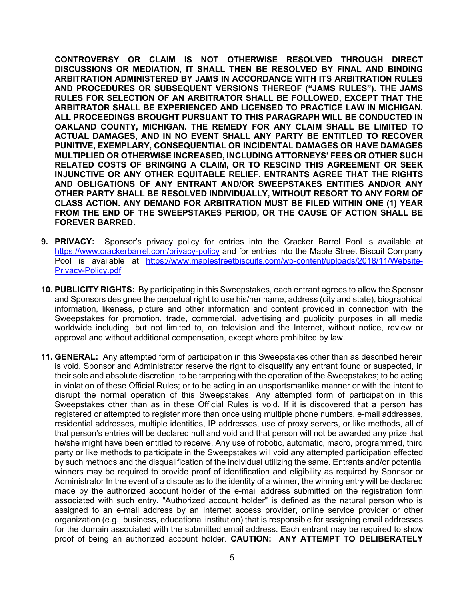**CONTROVERSY OR CLAIM IS NOT OTHERWISE RESOLVED THROUGH DIRECT DISCUSSIONS OR MEDIATION, IT SHALL THEN BE RESOLVED BY FINAL AND BINDING ARBITRATION ADMINISTERED BY JAMS IN ACCORDANCE WITH ITS ARBITRATION RULES AND PROCEDURES OR SUBSEQUENT VERSIONS THEREOF ("JAMS RULES"). THE JAMS RULES FOR SELECTION OF AN ARBITRATOR SHALL BE FOLLOWED, EXCEPT THAT THE ARBITRATOR SHALL BE EXPERIENCED AND LICENSED TO PRACTICE LAW IN MICHIGAN. ALL PROCEEDINGS BROUGHT PURSUANT TO THIS PARAGRAPH WILL BE CONDUCTED IN OAKLAND COUNTY, MICHIGAN. THE REMEDY FOR ANY CLAIM SHALL BE LIMITED TO ACTUAL DAMAGES, AND IN NO EVENT SHALL ANY PARTY BE ENTITLED TO RECOVER PUNITIVE, EXEMPLARY, CONSEQUENTIAL OR INCIDENTAL DAMAGES OR HAVE DAMAGES MULTIPLIED OR OTHERWISE INCREASED, INCLUDING ATTORNEYS' FEES OR OTHER SUCH RELATED COSTS OF BRINGING A CLAIM, OR TO RESCIND THIS AGREEMENT OR SEEK INJUNCTIVE OR ANY OTHER EQUITABLE RELIEF. ENTRANTS AGREE THAT THE RIGHTS AND OBLIGATIONS OF ANY ENTRANT AND/OR SWEEPSTAKES ENTITIES AND/OR ANY OTHER PARTY SHALL BE RESOLVED INDIVIDUALLY, WITHOUT RESORT TO ANY FORM OF CLASS ACTION. ANY DEMAND FOR ARBITRATION MUST BE FILED WITHIN ONE (1) YEAR FROM THE END OF THE SWEEPSTAKES PERIOD, OR THE CAUSE OF ACTION SHALL BE FOREVER BARRED.** 

- **9. PRIVACY:** Sponsor's privacy policy for entries into the Cracker Barrel Pool is available at https://www.crackerbarrel.com/privacy-policy and for entries into the Maple Street Biscuit Company Pool is available at https://www.maplestreetbiscuits.com/wp-content/uploads/2018/11/Website-Privacy-Policy.pdf
- **10. PUBLICITY RIGHTS:** By participating in this Sweepstakes, each entrant agrees to allow the Sponsor and Sponsors designee the perpetual right to use his/her name, address (city and state), biographical information, likeness, picture and other information and content provided in connection with the Sweepstakes for promotion, trade, commercial, advertising and publicity purposes in all media worldwide including, but not limited to, on television and the Internet, without notice, review or approval and without additional compensation, except where prohibited by law.
- **11. GENERAL:** Any attempted form of participation in this Sweepstakes other than as described herein is void. Sponsor and Administrator reserve the right to disqualify any entrant found or suspected, in their sole and absolute discretion, to be tampering with the operation of the Sweepstakes; to be acting in violation of these Official Rules; or to be acting in an unsportsmanlike manner or with the intent to disrupt the normal operation of this Sweepstakes. Any attempted form of participation in this Sweepstakes other than as in these Official Rules is void. If it is discovered that a person has registered or attempted to register more than once using multiple phone numbers, e-mail addresses, residential addresses, multiple identities, IP addresses, use of proxy servers, or like methods, all of that person's entries will be declared null and void and that person will not be awarded any prize that he/she might have been entitled to receive. Any use of robotic, automatic, macro, programmed, third party or like methods to participate in the Sweepstakes will void any attempted participation effected by such methods and the disqualification of the individual utilizing the same. Entrants and/or potential winners may be required to provide proof of identification and eligibility as required by Sponsor or Administrator In the event of a dispute as to the identity of a winner, the winning entry will be declared made by the authorized account holder of the e-mail address submitted on the registration form associated with such entry. "Authorized account holder" is defined as the natural person who is assigned to an e-mail address by an Internet access provider, online service provider or other organization (e.g., business, educational institution) that is responsible for assigning email addresses for the domain associated with the submitted email address. Each entrant may be required to show proof of being an authorized account holder. **CAUTION: ANY ATTEMPT TO DELIBERATELY**